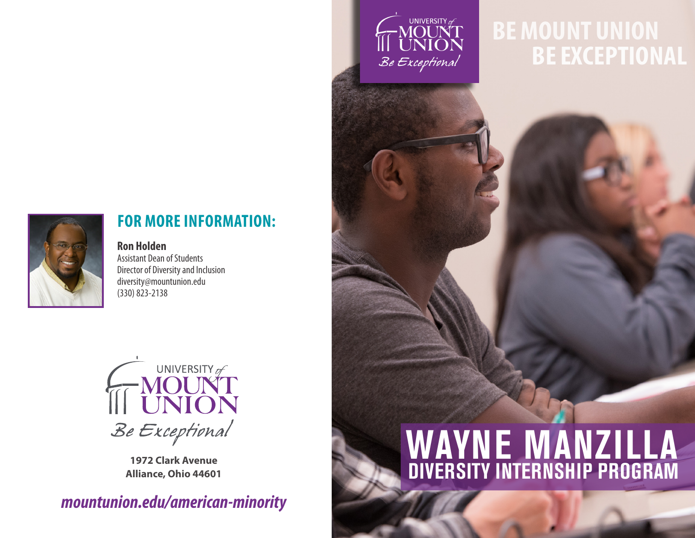

## **BE MOUNT UNION BE EXCEPTIONAL**



## **FOR MORE INFORMATION:**

**Ron Holden** Assistant Dean of Students Director of Diversity and Inclusion diversity@mountunion.edu (330) 823-2138



**<sup>1972</sup> Clark Avenue Alliance, Ohio 44601**

*mountunion.edu/american-minority*

# **WAYNE MANZILLA DIVERSITY INTERNSHIP PROGRAM**